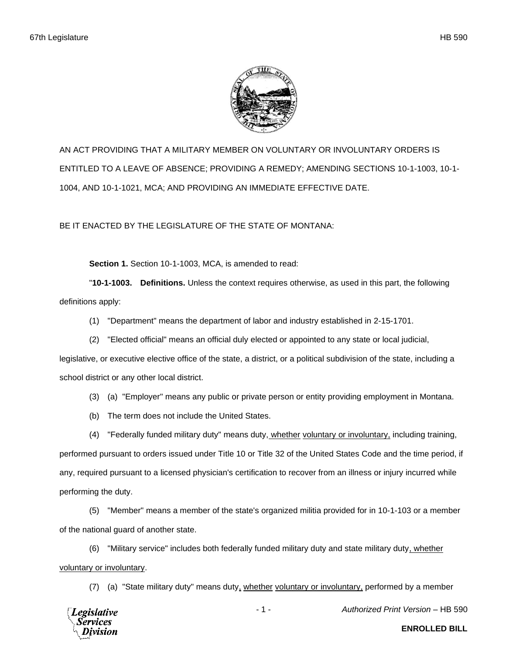

AN ACT PROVIDING THAT A MILITARY MEMBER ON VOLUNTARY OR INVOLUNTARY ORDERS IS ENTITLED TO A LEAVE OF ABSENCE; PROVIDING A REMEDY; AMENDING SECTIONS 10-1-1003, 10-1- 1004, AND 10-1-1021, MCA; AND PROVIDING AN IMMEDIATE EFFECTIVE DATE.

BE IT ENACTED BY THE LEGISLATURE OF THE STATE OF MONTANA:

**Section 1.** Section 10-1-1003, MCA, is amended to read:

"**10-1-1003. Definitions.** Unless the context requires otherwise, as used in this part, the following definitions apply:

- (1) "Department" means the department of labor and industry established in 2-15-1701.
- (2) "Elected official" means an official duly elected or appointed to any state or local judicial,

legislative, or executive elective office of the state, a district, or a political subdivision of the state, including a school district or any other local district.

- (3) (a) "Employer" means any public or private person or entity providing employment in Montana.
- (b) The term does not include the United States.

(4) "Federally funded military duty" means duty, whether voluntary or involuntary, including training, performed pursuant to orders issued under Title 10 or Title 32 of the United States Code and the time period, if any, required pursuant to a licensed physician's certification to recover from an illness or injury incurred while performing the duty.

(5) "Member" means a member of the state's organized militia provided for in 10-1-103 or a member of the national guard of another state.

(6) "Military service" includes both federally funded military duty and state military duty, whether voluntary or involuntary.

(7) (a) "State military duty" means duty, whether voluntary or involuntary, performed by a member



- 1 - *Authorized Print Version* – HB 590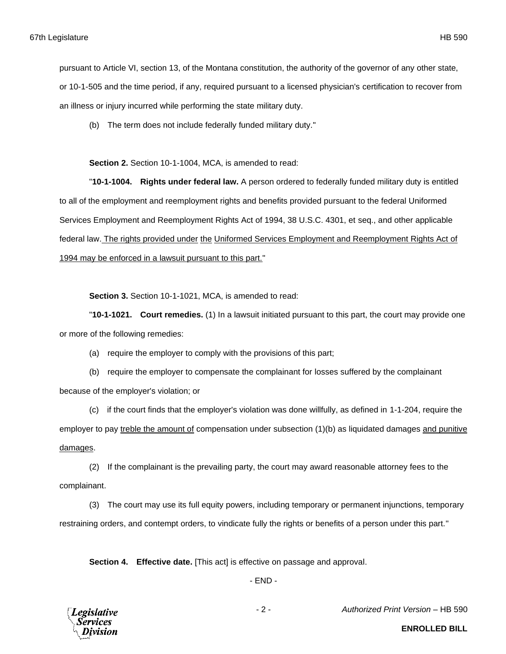pursuant to Article VI, section 13, of the Montana constitution, the authority of the governor of any other state, or 10-1-505 and the time period, if any, required pursuant to a licensed physician's certification to recover from an illness or injury incurred while performing the state military duty.

(b) The term does not include federally funded military duty."

**Section 2.** Section 10-1-1004, MCA, is amended to read:

"**10-1-1004. Rights under federal law.** A person ordered to federally funded military duty is entitled to all of the employment and reemployment rights and benefits provided pursuant to the federal Uniformed Services Employment and Reemployment Rights Act of 1994, 38 U.S.C. 4301, et seq., and other applicable federal law. The rights provided under the Uniformed Services Employment and Reemployment Rights Act of 1994 may be enforced in a lawsuit pursuant to this part."

**Section 3.** Section 10-1-1021, MCA, is amended to read:

"**10-1-1021. Court remedies.** (1) In a lawsuit initiated pursuant to this part, the court may provide one or more of the following remedies:

(a) require the employer to comply with the provisions of this part;

(b) require the employer to compensate the complainant for losses suffered by the complainant because of the employer's violation; or

(c) if the court finds that the employer's violation was done willfully, as defined in 1-1-204, require the employer to pay treble the amount of compensation under subsection (1)(b) as liquidated damages and punitive damages.

(2) If the complainant is the prevailing party, the court may award reasonable attorney fees to the complainant.

(3) The court may use its full equity powers, including temporary or permanent injunctions, temporary restraining orders, and contempt orders, to vindicate fully the rights or benefits of a person under this part."

**Section 4. Effective date.** [This act] is effective on passage and approval.

- END -



- 2 - *Authorized Print Version* – HB 590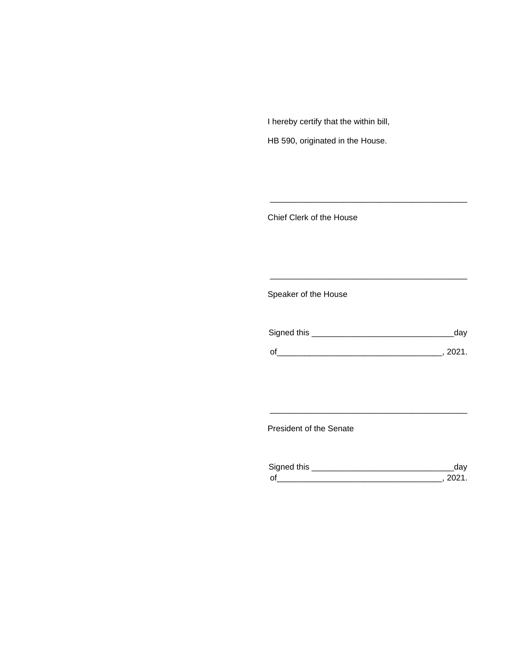I hereby certify that the within bill,

HB 590, originated in the House.

Chief Clerk of the House

Speaker of the House

| Signed this | dav    |
|-------------|--------|
| $\Omega$    | - 2021 |

\_\_\_\_\_\_\_\_\_\_\_\_\_\_\_\_\_\_\_\_\_\_\_\_\_\_\_\_\_\_\_\_\_\_\_\_\_\_\_\_\_\_\_

\_\_\_\_\_\_\_\_\_\_\_\_\_\_\_\_\_\_\_\_\_\_\_\_\_\_\_\_\_\_\_\_\_\_\_\_\_\_\_\_\_\_\_

President of the Senate

| Signed this                |  |
|----------------------------|--|
| $\mathsf{\Omega}^{\prime}$ |  |

\_\_\_\_\_\_\_\_\_\_\_\_\_\_\_\_\_\_\_\_\_\_\_\_\_\_\_\_\_\_\_\_\_\_\_\_\_\_\_\_\_\_\_